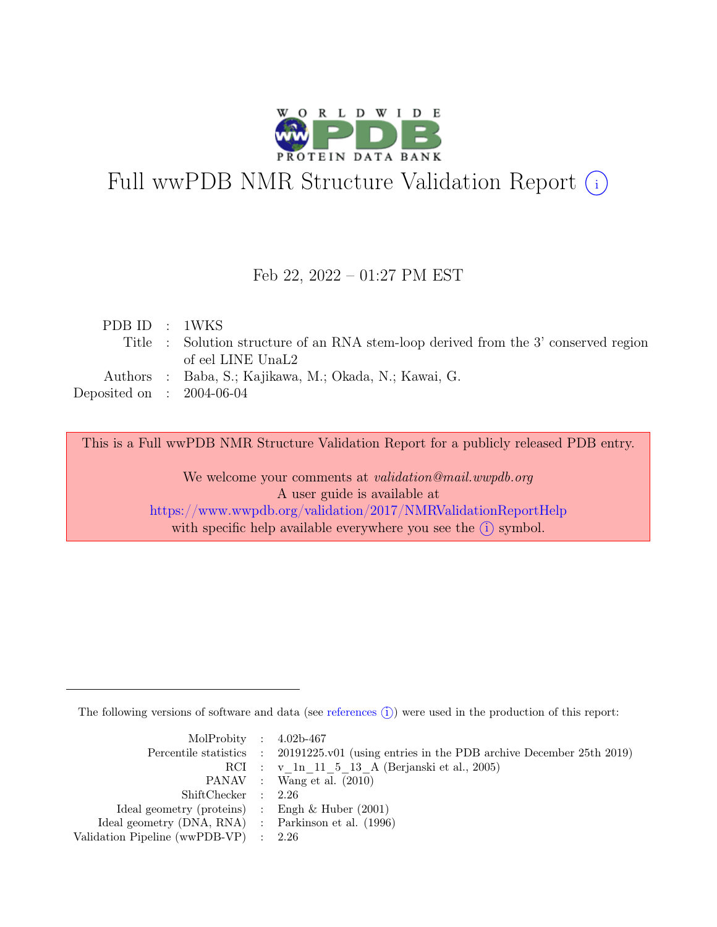

# Full wwPDB NMR Structure Validation Report (i)

## Feb 22, 2022 – 01:27 PM EST

| PDB ID : 1WKS               |                                                                                     |
|-----------------------------|-------------------------------------------------------------------------------------|
|                             | Title : Solution structure of an RNA stem-loop derived from the 3' conserved region |
|                             | of eel LINE UnaL2                                                                   |
|                             | Authors : Baba, S.; Kajikawa, M.; Okada, N.; Kawai, G.                              |
| Deposited on : $2004-06-04$ |                                                                                     |
|                             |                                                                                     |

This is a Full wwPDB NMR Structure Validation Report for a publicly released PDB entry.

We welcome your comments at *validation@mail.wwpdb.org* A user guide is available at <https://www.wwpdb.org/validation/2017/NMRValidationReportHelp> with specific help available everywhere you see the  $(i)$  symbol.

The following versions of software and data (see [references](https://www.wwpdb.org/validation/2017/NMRValidationReportHelp#references)  $\hat{I}$ ) were used in the production of this report:

| MolProbity : $4.02b-467$                            |                                                                                            |
|-----------------------------------------------------|--------------------------------------------------------------------------------------------|
|                                                     | Percentile statistics : 20191225.v01 (using entries in the PDB archive December 25th 2019) |
|                                                     | RCI : v 1n 11 5 13 A (Berjanski et al., 2005)                                              |
|                                                     | PANAV : Wang et al. (2010)                                                                 |
| ShiftChecker : 2.26                                 |                                                                                            |
| Ideal geometry (proteins) : Engh $\&$ Huber (2001)  |                                                                                            |
| Ideal geometry (DNA, RNA) : Parkinson et al. (1996) |                                                                                            |
| Validation Pipeline (wwPDB-VP) $\therefore$ 2.26    |                                                                                            |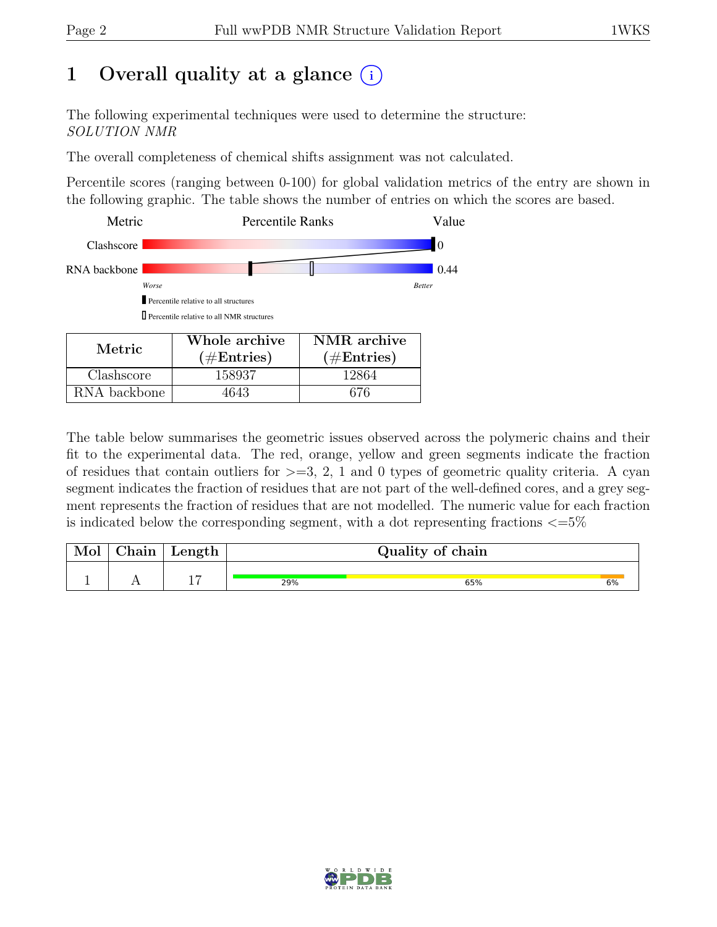# 1 Overall quality at a glance  $(i)$

The following experimental techniques were used to determine the structure: SOLUTION NMR

The overall completeness of chemical shifts assignment was not calculated.

Percentile scores (ranging between 0-100) for global validation metrics of the entry are shown in the following graphic. The table shows the number of entries on which the scores are based.



The table below summarises the geometric issues observed across the polymeric chains and their fit to the experimental data. The red, orange, yellow and green segments indicate the fraction of residues that contain outliers for  $>=$  3, 2, 1 and 0 types of geometric quality criteria. A cyan segment indicates the fraction of residues that are not part of the well-defined cores, and a grey segment represents the fraction of residues that are not modelled. The numeric value for each fraction is indicated below the corresponding segment, with a dot representing fractions  $\epsilon = 5\%$ 

| Mol | hain! | Length   |     | Quality of chain |    |
|-----|-------|----------|-----|------------------|----|
|     |       | <u>.</u> | 29% | 65%              | 6% |

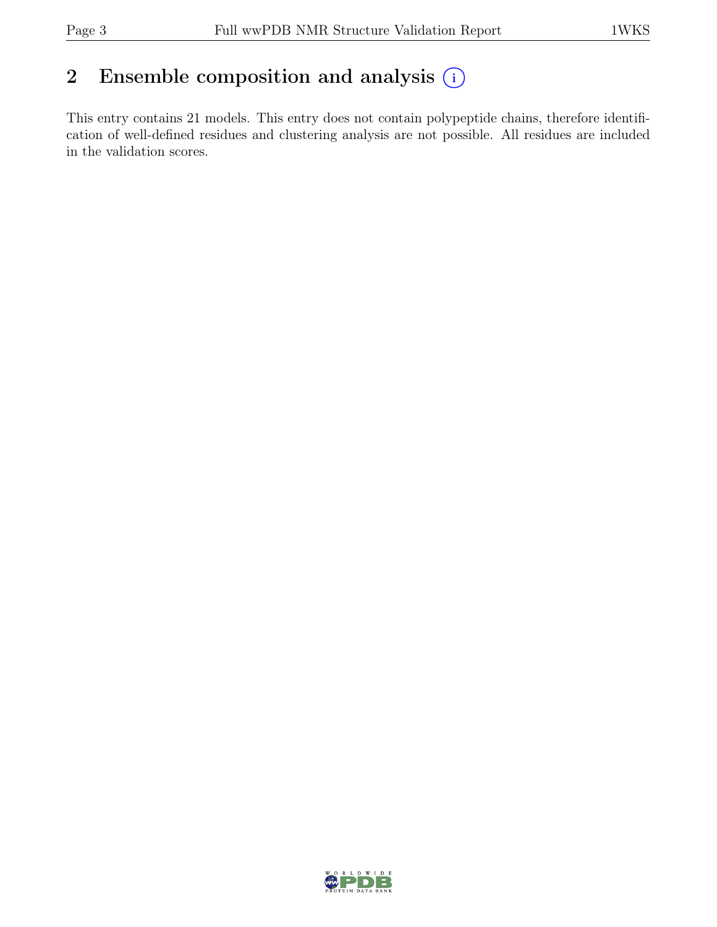## 2 Ensemble composition and analysis  $(i)$

This entry contains 21 models. This entry does not contain polypeptide chains, therefore identification of well-defined residues and clustering analysis are not possible. All residues are included in the validation scores.

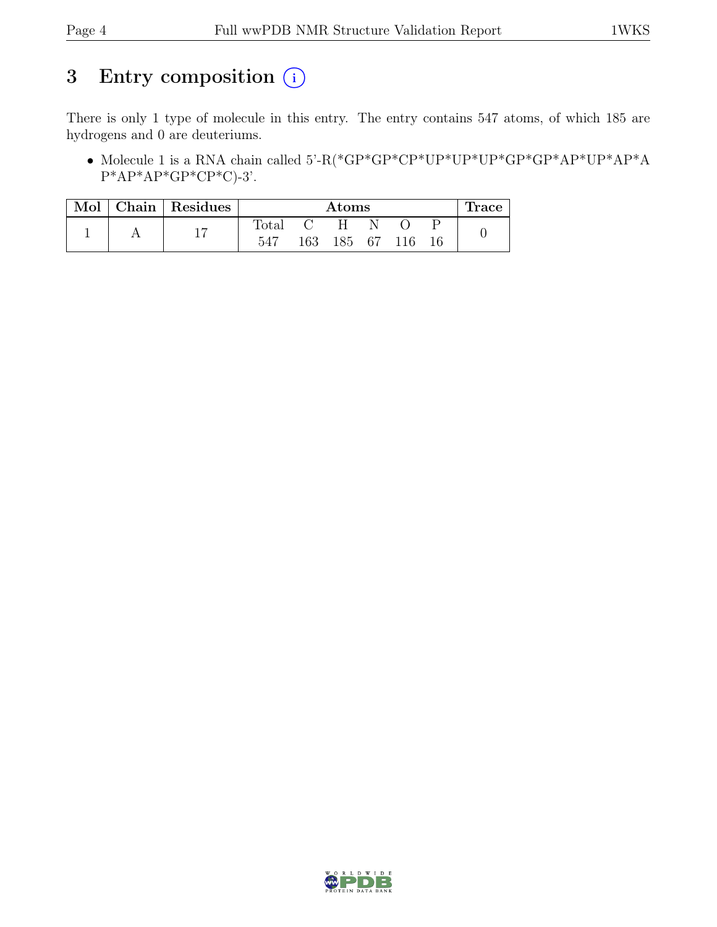# 3 Entry composition  $(i)$

There is only 1 type of molecule in this entry. The entry contains 547 atoms, of which 185 are hydrogens and 0 are deuteriums.

 $\bullet$  Molecule 1 is a RNA chain called 5'-R(\*GP\*GP\*CP\*UP\*UP\*UP\*GP\*GP\*AP\*UP\*AP\*A  $P^*AP^*AP^*GP^*CP^*C$ -3'.

| Mol | Chain   Residues |                | Atoms |        |  |     | race |  |
|-----|------------------|----------------|-------|--------|--|-----|------|--|
|     | 1 <sub>7</sub>   | $_{\rm Total}$ |       | н      |  |     |      |  |
|     |                  | 547            | 163   | 185 67 |  | 116 |      |  |

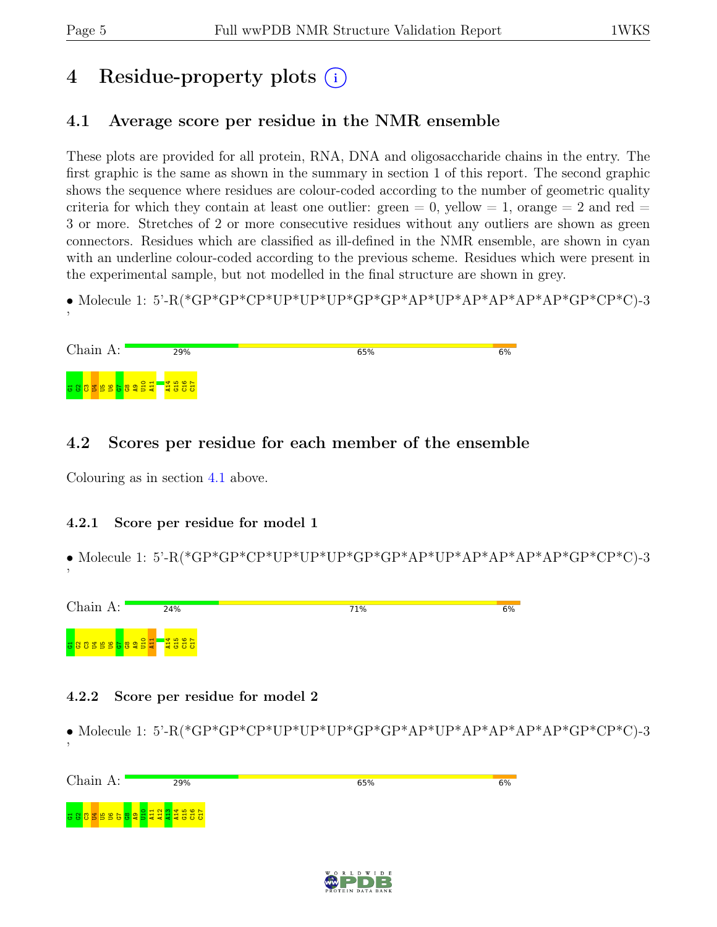# 4 Residue-property plots (i)

## <span id="page-4-0"></span>4.1 Average score per residue in the NMR ensemble

These plots are provided for all protein, RNA, DNA and oligosaccharide chains in the entry. The first graphic is the same as shown in the summary in section 1 of this report. The second graphic shows the sequence where residues are colour-coded according to the number of geometric quality criteria for which they contain at least one outlier: green  $= 0$ , yellow  $= 1$ , orange  $= 2$  and red  $=$ 3 or more. Stretches of 2 or more consecutive residues without any outliers are shown as green connectors. Residues which are classified as ill-defined in the NMR ensemble, are shown in cyan with an underline colour-coded according to the previous scheme. Residues which were present in the experimental sample, but not modelled in the final structure are shown in grey.

• Molecule 1: 5'-R(\*GP\*GP\*CP\*UP\*UP\*UP\*GP\*GP\*AP\*UP\*AP\*AP\*AP\*AP\*GP\*CP\*C)-3

| Chain A: | 29% | 65% | 6% |
|----------|-----|-----|----|
|          |     |     |    |

## 4.2 Scores per residue for each member of the ensemble

Colouring as in section [4.1](#page-4-0) above.

### 4.2.1 Score per residue for model 1

• Molecule 1: 5'-R(\*GP\*GP\*CP\*UP\*UP\*UP\*GP\*GP\*AP\*UP\*AP\*AP\*AP\*AP\*GP\*CP\*C)-3 '



### 4.2.2 Score per residue for model 2

• Molecule 1: 5'-R(\*GP\*GP\*CP\*UP\*UP\*UP\*GP\*GP\*AP\*UP\*AP\*AP\*AP\*AP\*GP\*CP\*C)-3 '



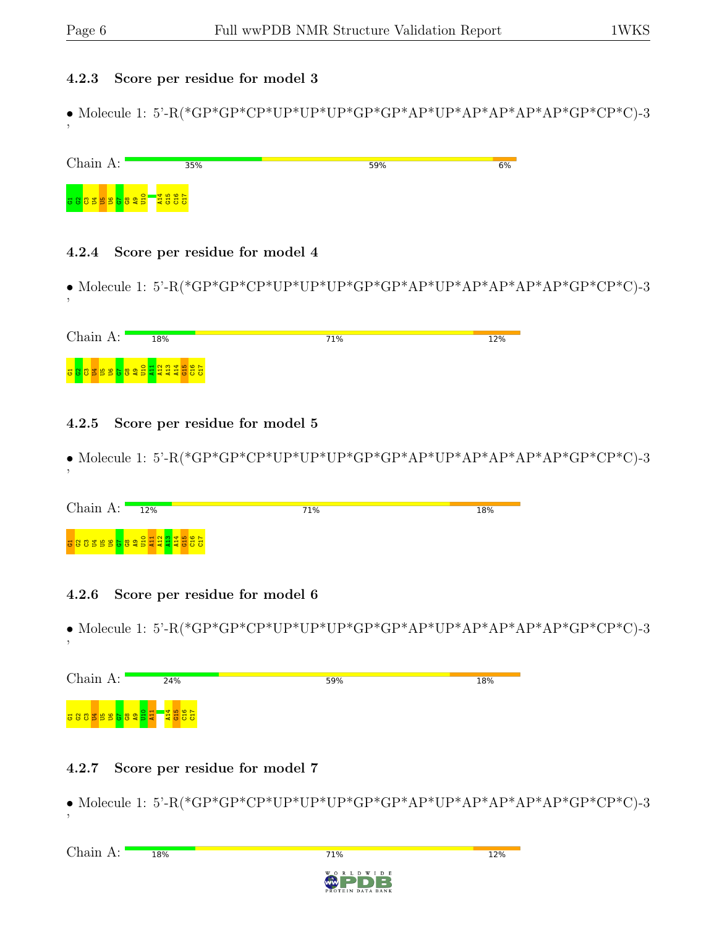#### 4.2.3 Score per residue for model 3

• Molecule 1: 5'-R(\*GP\*GP\*CP\*UP\*UP\*UP\*GP\*GP\*AP\*UP\*AP\*AP\*AP\*AP\*GP\*CP\*C)-3 '

| Chain A:                          | 35%                                                     | 59% | 6% |
|-----------------------------------|---------------------------------------------------------|-----|----|
| <mark>공 않 (양 宫 음 음 음 양 양 금</mark> | $\frac{1}{2}$ $\frac{1}{3}$ $\frac{1}{5}$ $\frac{1}{5}$ |     |    |

#### 4.2.4 Score per residue for model 4

• Molecule 1: 5'-R(\*GP\*GP\*CP\*UP\*UP\*UP\*GP\*GP\*AP\*UP\*AP\*AP\*AP\*AP\*GP\*CP\*C)-3 '

| Chain<br>$\Delta \cdot$               | 18% | 71% | 12% |
|---------------------------------------|-----|-----|-----|
| s 8 3 5 5 6 6 8 2 5 4 2 2 2 3 5 6 6 7 |     |     |     |

### 4.2.5 Score per residue for model 5

• Molecule 1: 5'-R(\*GP\*GP\*CP\*UP\*UP\*UP\*GP\*GP\*AP\*UP\*AP\*AP\*AP\*AP\*GP\*CP\*C)-3

| Chain A: $\blacksquare$ | 12%                                   | 71% | 18% |
|-------------------------|---------------------------------------|-----|-----|
|                         | a a a a a a a a a a a a a a a a a a a |     |     |

### 4.2.6 Score per residue for model 6

• Molecule 1: 5'-R(\*GP\*GP\*CP\*UP\*UP\*UP\*GP\*GP\*AP\*UP\*AP\*AP\*AP\*AP\*GP\*CP\*C)-3 '



## 4.2.7 Score per residue for model 7

• Molecule 1: 5'-R(\*GP\*GP\*CP\*UP\*UP\*UP\*GP\*GP\*AP\*UP\*AP\*AP\*AP\*AP\*GP\*CP\*C)-3 '

71%



12%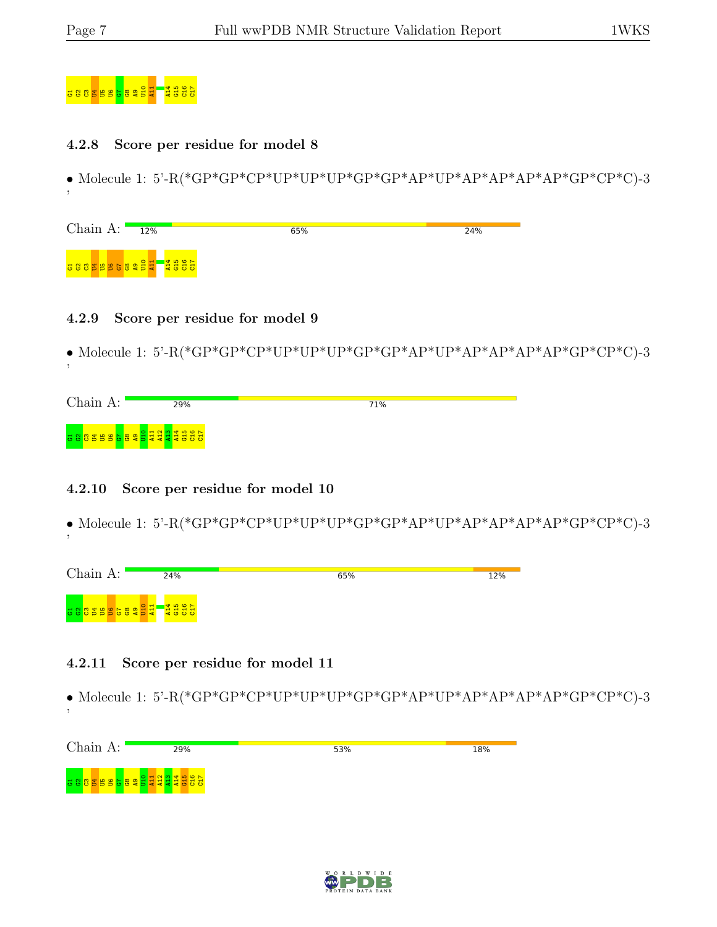'

'

'



#### 4.2.8 Score per residue for model 8

• Molecule 1: 5'-R(\*GP\*GP\*CP\*UP\*UP\*UP\*GP\*GP\*AP\*UP\*AP\*AP\*AP\*AP\*GP\*CP\*C)-3

| Chain $A:$ | 12%                | 65% | 24% |
|------------|--------------------|-----|-----|
|            | sassessessel asses |     |     |

#### 4.2.9 Score per residue for model 9

• Molecule 1: 5'-R(\*GP\*GP\*CP\*UP\*UP\*UP\*GP\*GP\*AP\*UP\*AP\*AP\*AP\*AP\*GP\*CP\*C)-3

| Chain A: | 29% | 71% |  |
|----------|-----|-----|--|
|          |     |     |  |

### 4.2.10 Score per residue for model 10

• Molecule 1: 5'-R(\*GP\*GP\*CP\*UP\*UP\*UP\*GP\*GP\*AP\*UP\*AP\*AP\*AP\*AP\*GP\*CP\*C)-3

| Chain A:              | 24% | 65% | 12% |
|-----------------------|-----|-----|-----|
| <b>B8855689944885</b> |     |     |     |

### 4.2.11 Score per residue for model 11

• Molecule 1: 5'-R(\*GP\*GP\*CP\*UP\*UP\*UP\*GP\*GP\*AP\*UP\*AP\*AP\*AP\*AP\*GP\*CP\*C)-3

| Chain A: | 29% | 53% | 18% |
|----------|-----|-----|-----|
|          |     |     |     |
|          |     |     |     |

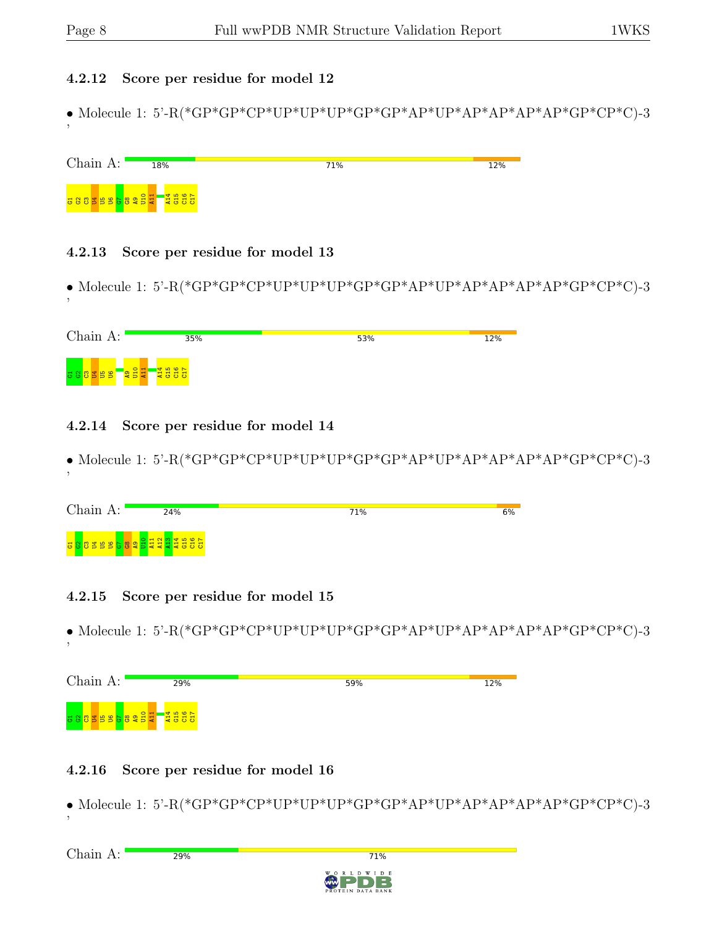### 4.2.12 Score per residue for model 12

• Molecule 1: 5'-R(\*GP\*GP\*CP\*UP\*UP\*UP\*GP\*GP\*AP\*UP\*AP\*AP\*AP\*AP\*GP\*CP\*C)-3 '



### 4.2.13 Score per residue for model 13

• Molecule 1: 5'-R(\*GP\*GP\*CP\*UP\*UP\*UP\*GP\*GP\*AP\*UP\*AP\*AP\*AP\*AP\*GP\*CP\*C)-3 '

| Chain A:                                      |             | 35% | 53% | 12% |
|-----------------------------------------------|-------------|-----|-----|-----|
| $\mathbf{g}$<br>l B<br>. 급 양 양 <mark>활</mark> | 227<br>2888 |     |     |     |

## 4.2.14 Score per residue for model 14

• Molecule 1: 5'-R(\*GP\*GP\*CP\*UP\*UP\*UP\*GP\*GP\*AP\*UP\*AP\*AP\*AP\*AP\*GP\*CP\*C)-3 '

| Chain A:                               | 24%                                               | 71% | 6% |
|----------------------------------------|---------------------------------------------------|-----|----|
| $\overline{\phantom{0}}$<br>ಅಕ<br>6555 | $\sim$<br>$\blacksquare$<br>22333 L<br><u>ਜ ਜ</u> |     |    |

## 4.2.15 Score per residue for model 15

 $\bullet$  Molecule 1: 5'-R(\*GP\*GP\*CP\*UP\*UP\*UP\*GP\*GP\*AP\*<br/>AP\*AP\*AP\*AP\*GP\*C)-3 '



## 4.2.16 Score per residue for model 16

 $\bullet$  Molecule 1: 5'-R(\*GP\*GP\*CP\*UP\*UP\*UP\*GP\*GP\*AP\*<br/>MP\*AP\*AP\*AP\*GP\*CP\*C)-3 '

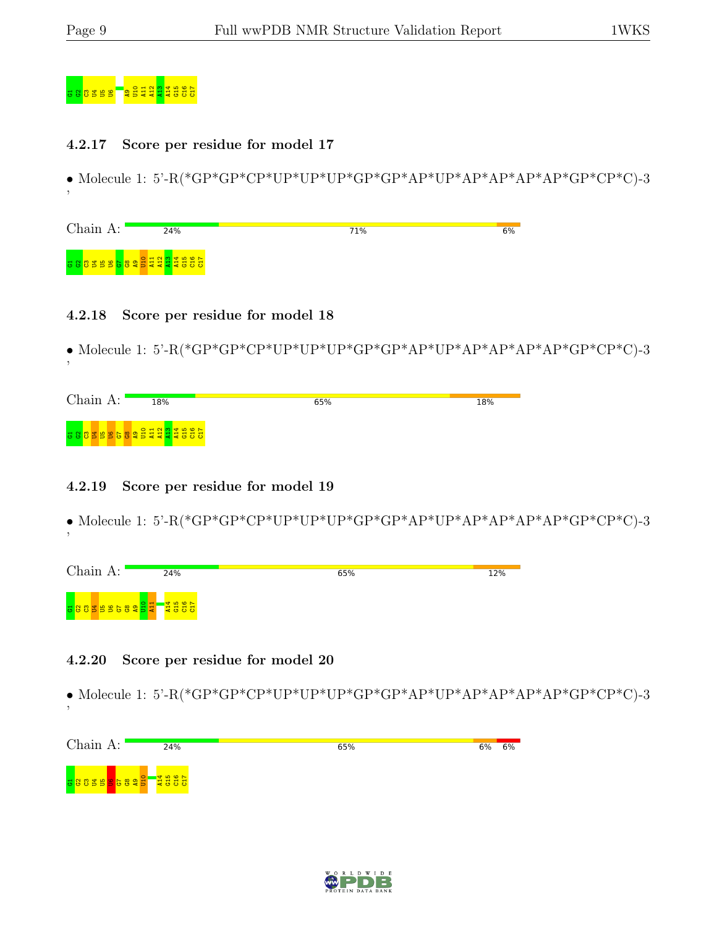'

'



#### 4.2.17 Score per residue for model 17

• Molecule 1: 5'-R(\*GP\*GP\*CP\*UP\*UP\*UP\*GP\*GP\*AP\*UP\*AP\*AP\*AP\*AP\*GP\*CP\*C)-3

| Chain A: | 24%                                   | 71% | 6% |
|----------|---------------------------------------|-----|----|
|          | a a a a a a a a a a a a a a a a a a a |     |    |

#### 4.2.18 Score per residue for model 18

• Molecule 1: 5'-R(\*GP\*GP\*CP\*UP\*UP\*UP\*GP\*GP\*AP\*UP\*AP\*AP\*AP\*AP\*GP\*CP\*C)-3

| Chain<br>А: | 18%                                                  | 65% | 18% |
|-------------|------------------------------------------------------|-----|-----|
|             | <b>a 8 8 3 9 9 6 8 9 9 5 5 9 9 9 1 9 1 9 1 9 5 6</b> |     |     |

### 4.2.19 Score per residue for model 19

• Molecule 1: 5'-R(\*GP\*GP\*CP\*UP\*UP\*UP\*GP\*GP\*AP\*UP\*AP\*AP\*AP\*AP\*GP\*CP\*C)-3

| Chain A:  | 24%   | 65% | 12% |
|-----------|-------|-----|-----|
| 888888888 | 74567 |     |     |

### 4.2.20 Score per residue for model 20

• Molecule 1: 5'-R(\*GP\*GP\*CP\*UP\*UP\*UP\*GP\*GP\*AP\*UP\*AP\*AP\*AP\*AP\*GP\*CP\*C)-3 '

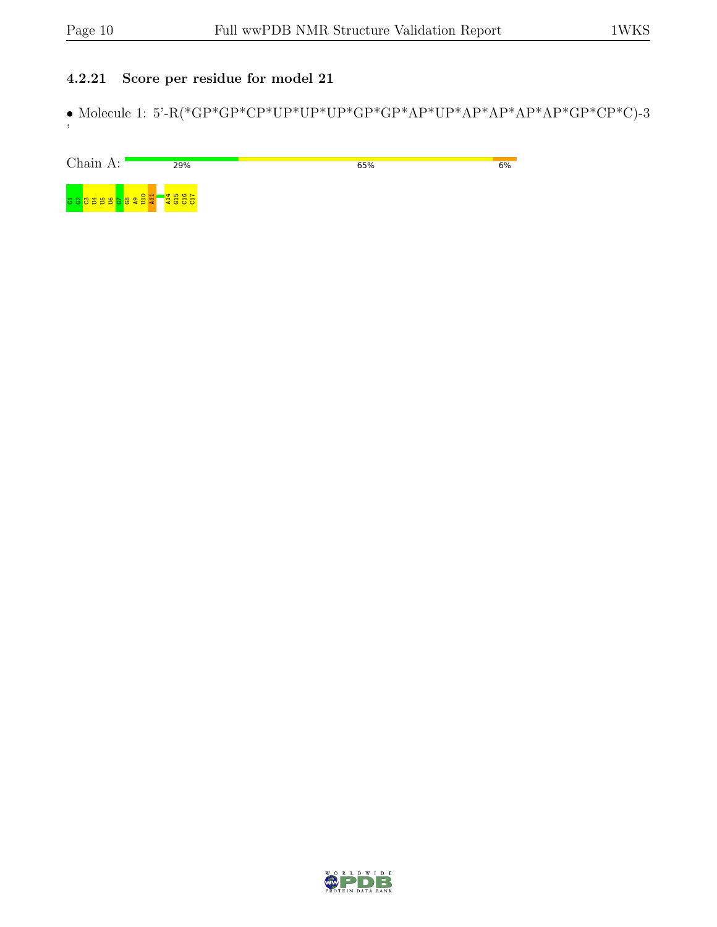## 4.2.21 Score per residue for model 21

 $\bullet$  Molecule 1: 5'-R(\*GP\*GP\*CP\*UP\*UP\*UP\*GP\*GP\*AP\*<br/>AP\*AP\*AP\*AP\*GP\*CP\*C)-3 '

| Chain A: | 29%                                                                                         | 65% | 6% |
|----------|---------------------------------------------------------------------------------------------|-----|----|
|          | $\begin{array}{c}\n\hline\n\downarrow 456 \\ \hline\n\downarrow 657 \\ \hline\n\end{array}$ |     |    |

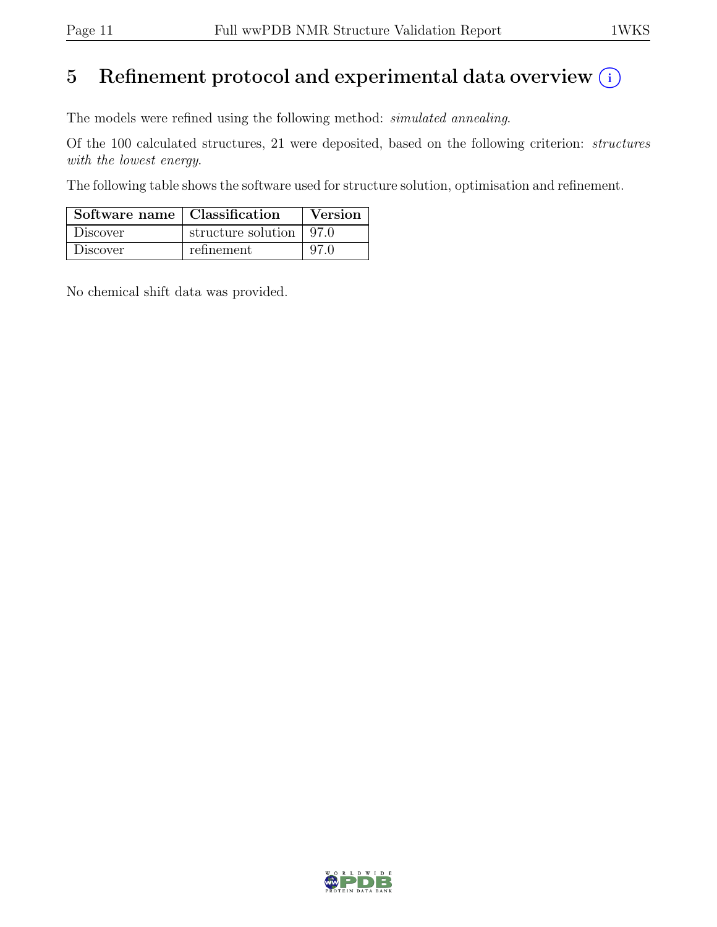# 5 Refinement protocol and experimental data overview  $(i)$

The models were refined using the following method: simulated annealing.

Of the 100 calculated structures, 21 were deposited, based on the following criterion: structures with the lowest energy.

The following table shows the software used for structure solution, optimisation and refinement.

| Software name   Classification |                           | Version |
|--------------------------------|---------------------------|---------|
| Discover                       | structure solution   97.0 |         |
| Discover                       | refinement                | 97 O    |

No chemical shift data was provided.

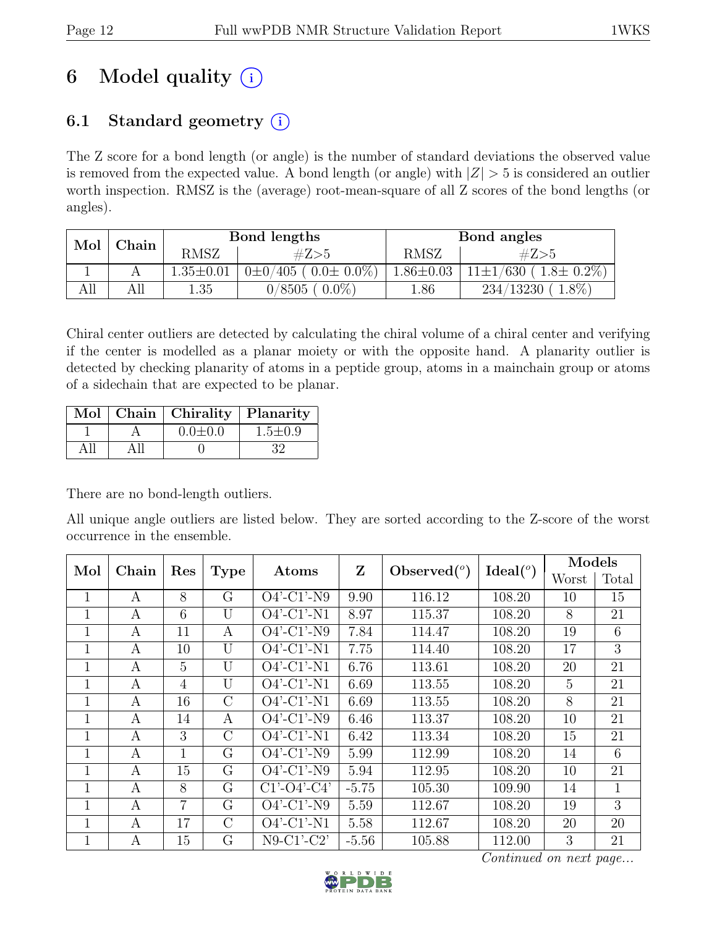# 6 Model quality  $(i)$

## 6.1 Standard geometry  $(i)$

The Z score for a bond length (or angle) is the number of standard deviations the observed value is removed from the expected value. A bond length (or angle) with  $|Z| > 5$  is considered an outlier worth inspection. RMSZ is the (average) root-mean-square of all Z scores of the bond lengths (or angles).

| Mol | $\operatorname{\mathbb{C}}$ hain |                 | Bond lengths                  | Bond angles     |                                     |  |
|-----|----------------------------------|-----------------|-------------------------------|-----------------|-------------------------------------|--|
|     |                                  | <b>RMSZ</b>     | #Z>5                          | <b>RMSZ</b>     | #Z>5                                |  |
|     |                                  | $1.35 \pm 0.01$ | $0\pm0/405$ ( $0.0\pm0.0\%$ ) | $1.86 \pm 0.03$ | $(1.8 \pm 0.2\%)$<br>$11\pm1/630$ ( |  |
| ĄЦ  | All                              | 1.35            | $0.0\%$<br>0/8505             | 1.86            | $1.8\%$<br>234/13230                |  |

Chiral center outliers are detected by calculating the chiral volume of a chiral center and verifying if the center is modelled as a planar moiety or with the opposite hand. A planarity outlier is detected by checking planarity of atoms in a peptide group, atoms in a mainchain group or atoms of a sidechain that are expected to be planar.

|  | Mol   Chain   Chirality   Planarity |               |
|--|-------------------------------------|---------------|
|  | $0.0 \pm 0.0$                       | $1.5 \pm 0.9$ |
|  |                                     | 39            |

There are no bond-length outliers.

All unique angle outliers are listed below. They are sorted according to the Z-score of the worst occurrence in the ensemble.

| Mol          | Chain<br>Res |    | <b>Type</b>    | Atoms                    | Z       | Observed $(°)$ | Ideal <sup>o</sup> | <b>Models</b> |       |
|--------------|--------------|----|----------------|--------------------------|---------|----------------|--------------------|---------------|-------|
|              |              |    |                |                          |         |                |                    | Worst         | Total |
| 1            | A            | 8  | G              | $O4'$ -C1'-N9            | 9.90    | 116.12         | 108.20             | 10            | 15    |
| $\mathbf{1}$ | A            | 6  | U              | $O4'$ -C1'-N1            | 8.97    | 115.37         | 108.20             | 8             | 21    |
| $\mathbf{1}$ | A            | 11 | А              | $O4'$ -C1'-N9            | 7.84    | 114.47         | 108.20             | 19            | 6     |
| $\mathbf{1}$ | $\mathbf{A}$ | 10 | U              | $O4'$ -C1'-N1            | 7.75    | 114.40         | 108.20             | 17            | 3     |
| 1            | A            | 5  | $\overline{U}$ | $O4'$ -C1'-N1            | 6.76    | 113.61         | 108.20             | 20            | 21    |
| 1            | А            | 4  | $\overline{U}$ | $O4'$ -C1'-N1            | 6.69    | 113.55         | 108.20             | 5             | 21    |
| 1            | A            | 16 | $\rm C$        | $\overline{O4'}$ -C1'-N1 | 6.69    | 113.55         | 108.20             | 8             | 21    |
| 1            | A            | 14 | А              | $O4'$ -C1'-N9            | 6.46    | 113.37         | 108.20             | 10            | 21    |
| 1            | A            | 3  | $\rm C$        | $O4'$ -C1'-N1            | 6.42    | 113.34         | 108.20             | 15            | 21    |
| $\mathbf{1}$ | A            | 1  | G              | $O4'$ -C1'-N9            | 5.99    | 112.99         | 108.20             | 14            | 6     |
| $\mathbf{1}$ | A            | 15 | G              | $O4'$ -C1'-N9            | 5.94    | 112.95         | 108.20             | 10            | 21    |
| $\mathbf{1}$ | A            | 8  | G              | $C1'-O4'-C4'$            | $-5.75$ | 105.30         | 109.90             | 14            | 1     |
| 1            | A            | 7  | G              | $O4'$ -C1'-N9            | 5.59    | 112.67         | 108.20             | 19            | 3     |
| $\mathbf{1}$ | A            | 17 | $\rm C$        | $O4'$ -C1'-N1            | 5.58    | 112.67         | 108.20             | 20            | 20    |
| 1            | А            | 15 | G              | $N9-C1'-C2'$             | $-5.56$ | 105.88         | 112.00             | 3             | 21    |



Continued on next page...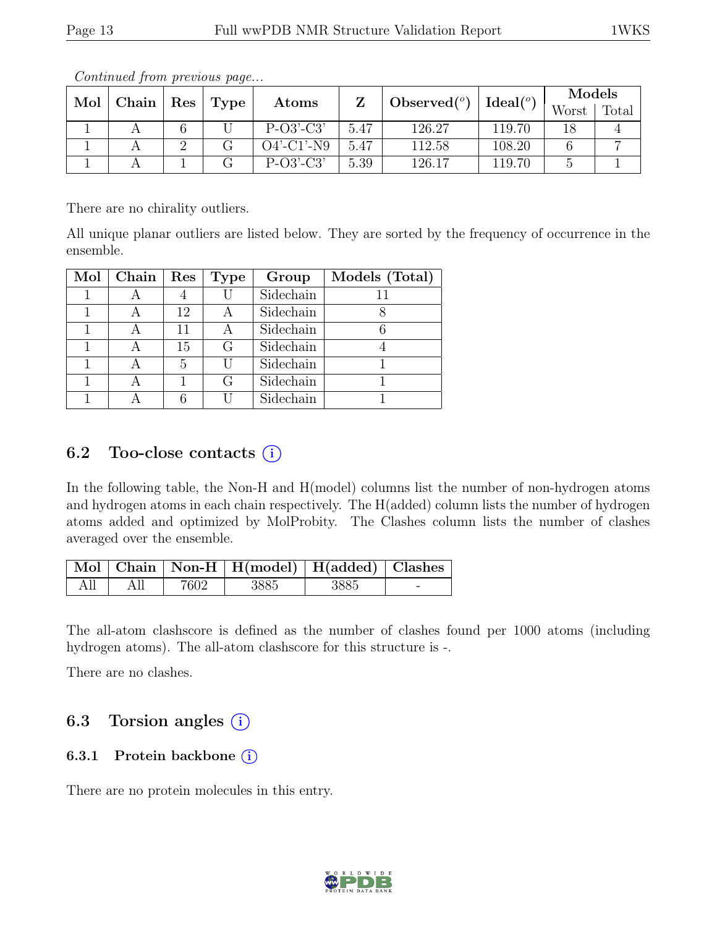| Mol | Chain   Res |  |      |               |                | $\Delta$ Ideal $(^o)$ | Models |       |       |
|-----|-------------|--|------|---------------|----------------|-----------------------|--------|-------|-------|
|     |             |  | Type | Atoms         | Observed $(°)$ |                       |        | Worst | Total |
|     |             |  |      | $P-O3'-C3'$   | 5.47           | 126.27                | 119.70 | 18    |       |
|     |             |  |      | $O4'$ -C1'-N9 | 5.47           | 112.58                | 108.20 |       |       |
|     |             |  |      | $P-O3'-C3'$   | 5.39           | 126.17                | 119.70 |       |       |

Continued from previous page...

There are no chirality outliers.

All unique planar outliers are listed below. They are sorted by the frequency of occurrence in the ensemble.

| $Mol$   Chain | Res | <b>Type</b> | Group     | Models (Total) |
|---------------|-----|-------------|-----------|----------------|
|               |     |             | Sidechain |                |
|               | 12  | А           | Sidechain |                |
|               | 11  | А           | Sidechain |                |
|               | 15  | G           | Sidechain |                |
|               | 5   | H           | Sidechain |                |
|               |     | G           | Sidechain |                |
|               |     |             | Sidechain |                |

## 6.2 Too-close contacts  $(i)$

In the following table, the Non-H and H(model) columns list the number of non-hydrogen atoms and hydrogen atoms in each chain respectively. The H(added) column lists the number of hydrogen atoms added and optimized by MolProbity. The Clashes column lists the number of clashes averaged over the ensemble.

|  |      | Mol   Chain   Non-H   H(model)   H(added)   Clashes |      |                          |
|--|------|-----------------------------------------------------|------|--------------------------|
|  | 7602 | -3885                                               | 3885 | $\overline{\phantom{a}}$ |

The all-atom clashscore is defined as the number of clashes found per 1000 atoms (including hydrogen atoms). The all-atom clashscore for this structure is -.

There are no clashes.

## 6.3 Torsion angles  $(i)$

## 6.3.1 Protein backbone  $(i)$

There are no protein molecules in this entry.

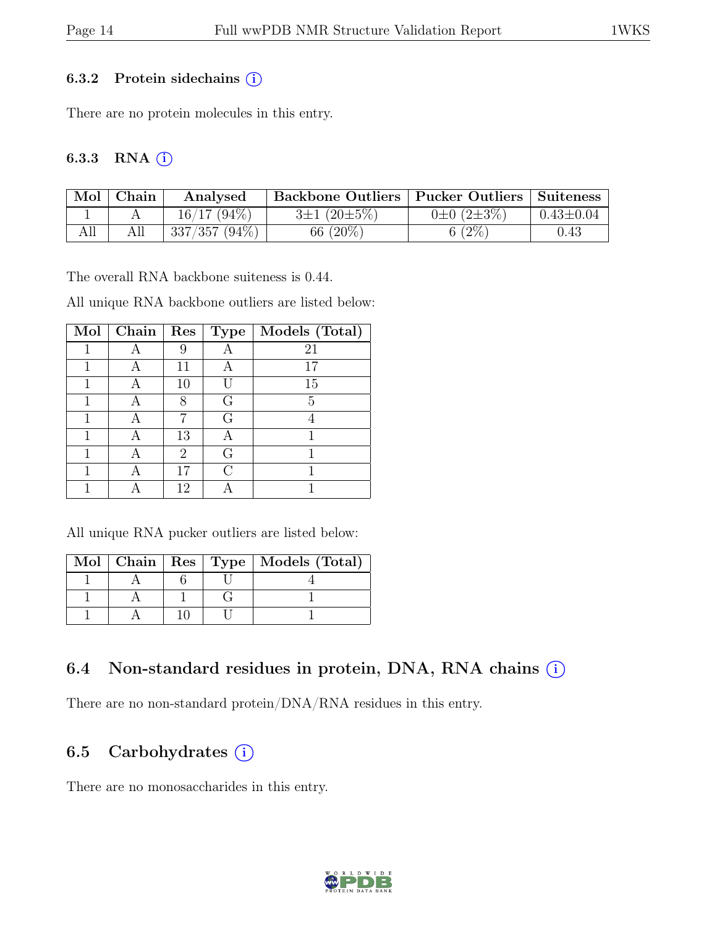#### 6.3.2 Protein sidechains  $(i)$

There are no protein molecules in this entry.

#### 6.3.3 RNA $(i)$

| Mol | Chain | Analysed        | Backbone Outliers   Pucker Outliers   Suiteness |                       |                 |
|-----|-------|-----------------|-------------------------------------------------|-----------------------|-----------------|
|     |       | $16/17$ (94\%)  | $3\pm1(20\pm5\%)$                               | $0\pm 0$ $(2\pm 3\%)$ | $0.43 \pm 0.04$ |
| All |       | $337/357(94\%)$ | 66 (20%)                                        | $6(2\%)$              | $\rm 0.43$      |

The overall RNA backbone suiteness is 0.44.

All unique RNA backbone outliers are listed below:

| Mol | Chain | Res | Type | Models (Total) |
|-----|-------|-----|------|----------------|
|     |       | 9   |      | 21             |
|     |       | 11  |      | 17             |
|     |       | 10  |      | 15             |
|     |       | 8   | G    | 5              |
|     |       |     | G    |                |
|     |       | 13  |      |                |
|     |       | 2   | G    |                |
|     |       | 17  | ⊖    |                |
|     |       | 12  |      |                |

All unique RNA pucker outliers are listed below:

|  |  | Mol   Chain   Res   Type   Models (Total) |
|--|--|-------------------------------------------|
|  |  |                                           |
|  |  |                                           |
|  |  |                                           |

## 6.4 Non-standard residues in protein, DNA, RNA chains (i)

There are no non-standard protein/DNA/RNA residues in this entry.

## 6.5 Carbohydrates  $(i)$

There are no monosaccharides in this entry.

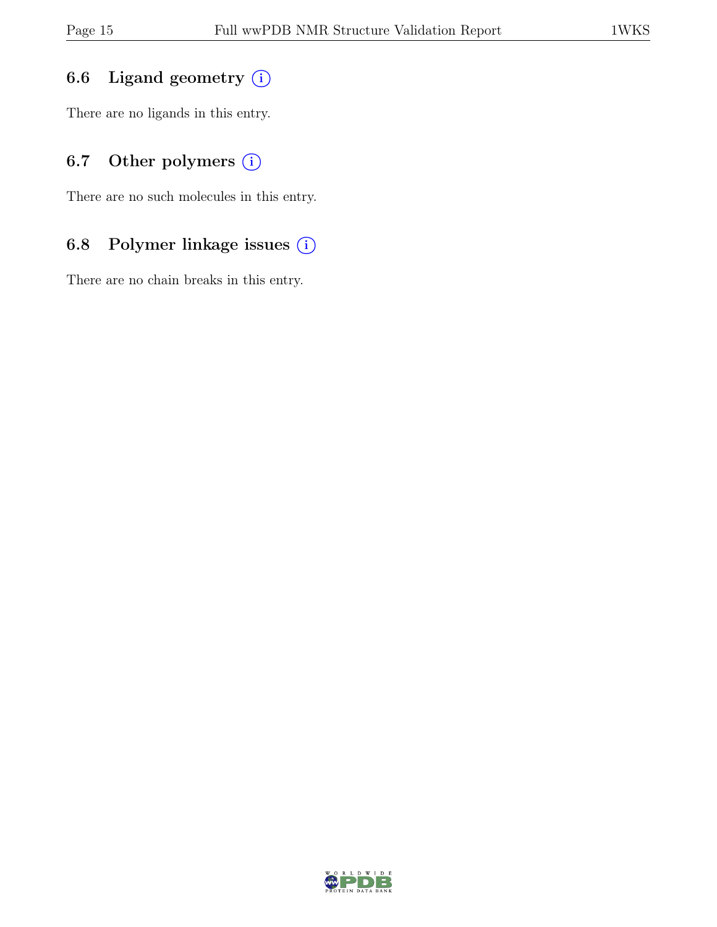## 6.6 Ligand geometry  $(i)$

There are no ligands in this entry.

## 6.7 Other polymers  $(i)$

There are no such molecules in this entry.

## 6.8 Polymer linkage issues (i)

There are no chain breaks in this entry.